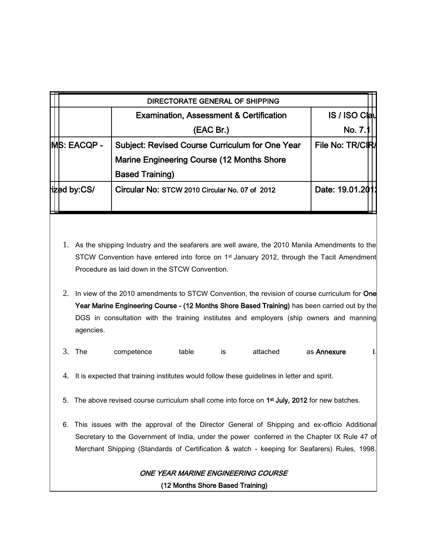|                     | <b>Examination, Assessment &amp; Certification</b> | <b>IS / ISO Clau</b> |
|---------------------|----------------------------------------------------|----------------------|
|                     | (EAC Br.)                                          | No. 7.               |
| <b>IMS: EACQP -</b> | Subject: Revised Course Curriculum for One Year    | File No: TR/CIR      |
|                     | Marine Engineering Course (12 Months Shore         |                      |
|                     | <b>Based Training)</b>                             |                      |
| <b>ized by:CS/</b>  | Circular No: STCW 2010 Circular No. 07 of 2012     | Date: 19.01.2011     |

- 1. As the shipping Industry and the seafarers are well aware, the 2010 Manila Amendments to the STCW Convention have entered into force on 1<sup>st</sup> January 2012, through the Tacit Amendment Procedure as laid down in the STCW Convention.
- 2. In view of the 2010 amendments to STCW Convention, the revision of course curriculum for One Year Marine Engineering Course - (12 Months Shore Based Training) has been carried out by the DGS in consultation with the training institutes and employers (ship owners and manning agencies.
- 3. The competence table is attached as **Annexure** I.
- 4. It is expected that training institutes would follow these guidelines in letter and spirit.
- 5. The above revised course curriculum shall come into force on  $1<sup>st</sup>$  July, 2012 for new batches.
- 6. This issues with the approval of the Director General of Shipping and ex-officio Additional Secretary to the Government of India, under the power conferred in the Chapter IX Rule 47 of Merchant Shipping (Standards of Certification & watch - keeping for Seafarers) Rules, 1998.

# ONE YEAR MARINE ENGINEERING COURSE

(12 Months Shore Based Training)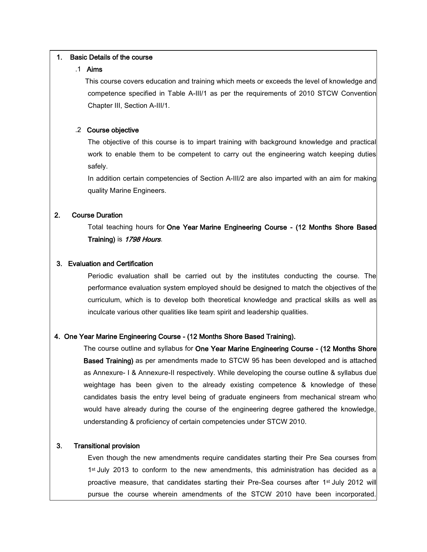#### 1. Basic Details of the course

## .1 Aims

 This course covers education and training which meets or exceeds the level of knowledge and competence specified in Table A-III/1 as per the requirements of 2010 STCW Convention Chapter III, Section A-III/1.

## .2 Course objective

The objective of this course is to impart training with background knowledge and practical work to enable them to be competent to carry out the engineering watch keeping duties safely.

In addition certain competencies of Section A-III/2 are also imparted with an aim for making quality Marine Engineers.

## 2. Course Duration

Total teaching hours for One Year Marine Engineering Course - (12 Months Shore Based Training) is 1798 Hours.

#### 3. Evaluation and Certification

Periodic evaluation shall be carried out by the institutes conducting the course. The performance evaluation system employed should be designed to match the objectives of the curriculum, which is to develop both theoretical knowledge and practical skills as well as inculcate various other qualities like team spirit and leadership qualities.

#### 4. One Year Marine Engineering Course - (12 Months Shore Based Training).

The course outline and syllabus for One Year Marine Engineering Course - (12 Months Shore Based Training) as per amendments made to STCW 95 has been developed and is attached as Annexure- I & Annexure-II respectively. While developing the course outline & syllabus due weightage has been given to the already existing competence & knowledge of these candidates basis the entry level being of graduate engineers from mechanical stream who would have already during the course of the engineering degree gathered the knowledge, understanding & proficiency of certain competencies under STCW 2010.

## 3. Transitional provision

Even though the new amendments require candidates starting their Pre Sea courses from 1st July 2013 to conform to the new amendments, this administration has decided as a proactive measure, that candidates starting their Pre-Sea courses after 1<sup>st</sup> July 2012 will pursue the course wherein amendments of the STCW 2010 have been incorporated.